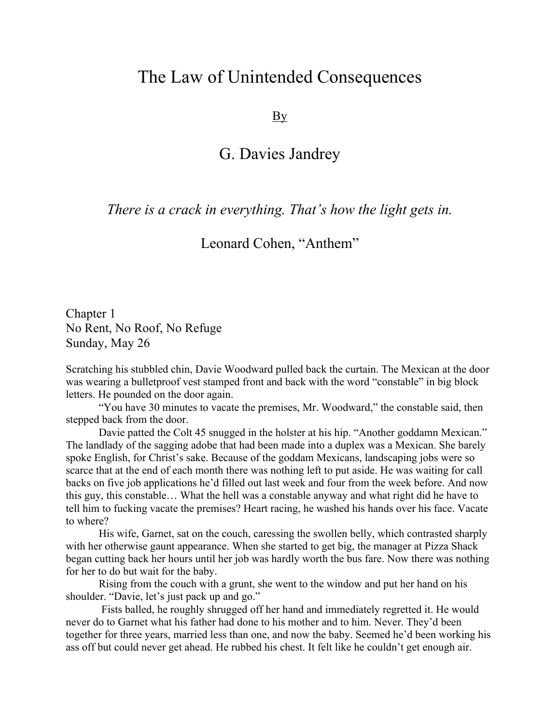## The Law of Unintended Consequences

By

## G. Davies Jandrey

## *There is a crack in everything. That's how the light gets in.*

## Leonard Cohen, "Anthem"

Chapter 1 No Rent, No Roof, No Refuge Sunday, May 26

Scratching his stubbled chin, Davie Woodward pulled back the curtain. The Mexican at the door was wearing a bulletproof vest stamped front and back with the word "constable" in big block letters. He pounded on the door again.

"You have 30 minutes to vacate the premises, Mr. Woodward," the constable said, then stepped back from the door.

Davie patted the Colt 45 snugged in the holster at his hip. "Another goddamn Mexican." The landlady of the sagging adobe that had been made into a duplex was a Mexican. She barely spoke English, for Christ's sake. Because of the goddam Mexicans, landscaping jobs were so scarce that at the end of each month there was nothing left to put aside. He was waiting for call backs on five job applications he'd filled out last week and four from the week before. And now this guy, this constable… What the hell was a constable anyway and what right did he have to tell him to fucking vacate the premises? Heart racing, he washed his hands over his face. Vacate to where?

His wife, Garnet, sat on the couch, caressing the swollen belly, which contrasted sharply with her otherwise gaunt appearance. When she started to get big, the manager at Pizza Shack began cutting back her hours until her job was hardly worth the bus fare. Now there was nothing for her to do but wait for the baby.

Rising from the couch with a grunt, she went to the window and put her hand on his shoulder. "Davie, let's just pack up and go."

Fists balled, he roughly shrugged off her hand and immediately regretted it. He would never do to Garnet what his father had done to his mother and to him. Never. They'd been together for three years, married less than one, and now the baby. Seemed he'd been working his ass off but could never get ahead. He rubbed his chest. It felt like he couldn't get enough air.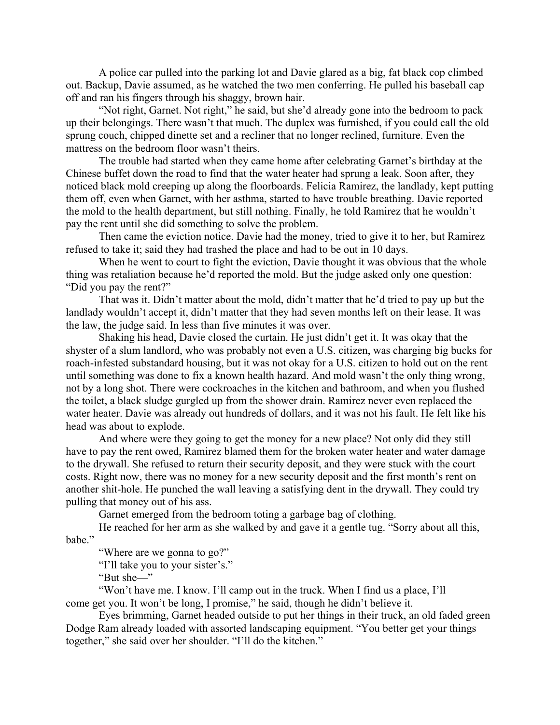A police car pulled into the parking lot and Davie glared as a big, fat black cop climbed out. Backup, Davie assumed, as he watched the two men conferring. He pulled his baseball cap off and ran his fingers through his shaggy, brown hair.

"Not right, Garnet. Not right," he said, but she'd already gone into the bedroom to pack up their belongings. There wasn't that much. The duplex was furnished, if you could call the old sprung couch, chipped dinette set and a recliner that no longer reclined, furniture. Even the mattress on the bedroom floor wasn't theirs.

The trouble had started when they came home after celebrating Garnet's birthday at the Chinese buffet down the road to find that the water heater had sprung a leak. Soon after, they noticed black mold creeping up along the floorboards. Felicia Ramirez, the landlady, kept putting them off, even when Garnet, with her asthma, started to have trouble breathing. Davie reported the mold to the health department, but still nothing. Finally, he told Ramirez that he wouldn't pay the rent until she did something to solve the problem.

Then came the eviction notice. Davie had the money, tried to give it to her, but Ramirez refused to take it; said they had trashed the place and had to be out in 10 days.

When he went to court to fight the eviction, Davie thought it was obvious that the whole thing was retaliation because he'd reported the mold. But the judge asked only one question: "Did you pay the rent?"

That was it. Didn't matter about the mold, didn't matter that he'd tried to pay up but the landlady wouldn't accept it, didn't matter that they had seven months left on their lease. It was the law, the judge said. In less than five minutes it was over.

Shaking his head, Davie closed the curtain. He just didn't get it. It was okay that the shyster of a slum landlord, who was probably not even a U.S. citizen, was charging big bucks for roach-infested substandard housing, but it was not okay for a U.S. citizen to hold out on the rent until something was done to fix a known health hazard. And mold wasn't the only thing wrong, not by a long shot. There were cockroaches in the kitchen and bathroom, and when you flushed the toilet, a black sludge gurgled up from the shower drain. Ramirez never even replaced the water heater. Davie was already out hundreds of dollars, and it was not his fault. He felt like his head was about to explode.

And where were they going to get the money for a new place? Not only did they still have to pay the rent owed, Ramirez blamed them for the broken water heater and water damage to the drywall. She refused to return their security deposit, and they were stuck with the court costs. Right now, there was no money for a new security deposit and the first month's rent on another shit-hole. He punched the wall leaving a satisfying dent in the drywall. They could try pulling that money out of his ass.

Garnet emerged from the bedroom toting a garbage bag of clothing.

He reached for her arm as she walked by and gave it a gentle tug. "Sorry about all this, babe."

"Where are we gonna to go?"

"I'll take you to your sister's."

"But she—"

"Won't have me. I know. I'll camp out in the truck. When I find us a place, I'll come get you. It won't be long, I promise," he said, though he didn't believe it.

Eyes brimming, Garnet headed outside to put her things in their truck, an old faded green Dodge Ram already loaded with assorted landscaping equipment. "You better get your things together," she said over her shoulder. "I'll do the kitchen."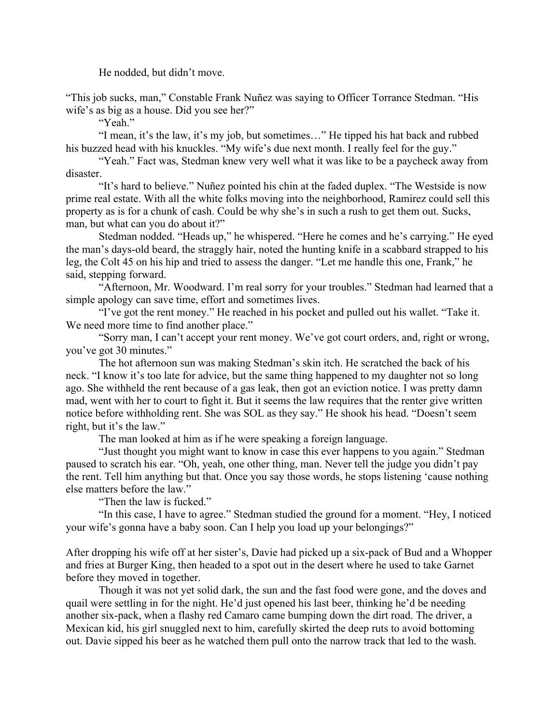He nodded, but didn't move.

"This job sucks, man," Constable Frank Nuñez was saying to Officer Torrance Stedman. "His wife's as big as a house. Did you see her?"

"Yeah."

"I mean, it's the law, it's my job, but sometimes…" He tipped his hat back and rubbed his buzzed head with his knuckles. "My wife's due next month. I really feel for the guy."

"Yeah." Fact was, Stedman knew very well what it was like to be a paycheck away from disaster.

"It's hard to believe." Nuñez pointed his chin at the faded duplex. "The Westside is now prime real estate. With all the white folks moving into the neighborhood, Ramirez could sell this property as is for a chunk of cash. Could be why she's in such a rush to get them out. Sucks, man, but what can you do about it?"

Stedman nodded. "Heads up," he whispered. "Here he comes and he's carrying." He eyed the man's days-old beard, the straggly hair, noted the hunting knife in a scabbard strapped to his leg, the Colt 45 on his hip and tried to assess the danger. "Let me handle this one, Frank," he said, stepping forward.

"Afternoon, Mr. Woodward. I'm real sorry for your troubles." Stedman had learned that a simple apology can save time, effort and sometimes lives.

"I've got the rent money." He reached in his pocket and pulled out his wallet. "Take it. We need more time to find another place."

"Sorry man, I can't accept your rent money. We've got court orders, and, right or wrong, you've got 30 minutes."

The hot afternoon sun was making Stedman's skin itch. He scratched the back of his neck. "I know it's too late for advice, but the same thing happened to my daughter not so long ago. She withheld the rent because of a gas leak, then got an eviction notice. I was pretty damn mad, went with her to court to fight it. But it seems the law requires that the renter give written notice before withholding rent. She was SOL as they say." He shook his head. "Doesn't seem right, but it's the law."

The man looked at him as if he were speaking a foreign language.

"Just thought you might want to know in case this ever happens to you again." Stedman paused to scratch his ear. "Oh, yeah, one other thing, man. Never tell the judge you didn't pay the rent. Tell him anything but that. Once you say those words, he stops listening 'cause nothing else matters before the law."

"Then the law is fucked."

"In this case, I have to agree." Stedman studied the ground for a moment. "Hey, I noticed your wife's gonna have a baby soon. Can I help you load up your belongings?"

After dropping his wife off at her sister's, Davie had picked up a six-pack of Bud and a Whopper and fries at Burger King, then headed to a spot out in the desert where he used to take Garnet before they moved in together.

Though it was not yet solid dark, the sun and the fast food were gone, and the doves and quail were settling in for the night. He'd just opened his last beer, thinking he'd be needing another six-pack, when a flashy red Camaro came bumping down the dirt road. The driver, a Mexican kid, his girl snuggled next to him, carefully skirted the deep ruts to avoid bottoming out. Davie sipped his beer as he watched them pull onto the narrow track that led to the wash.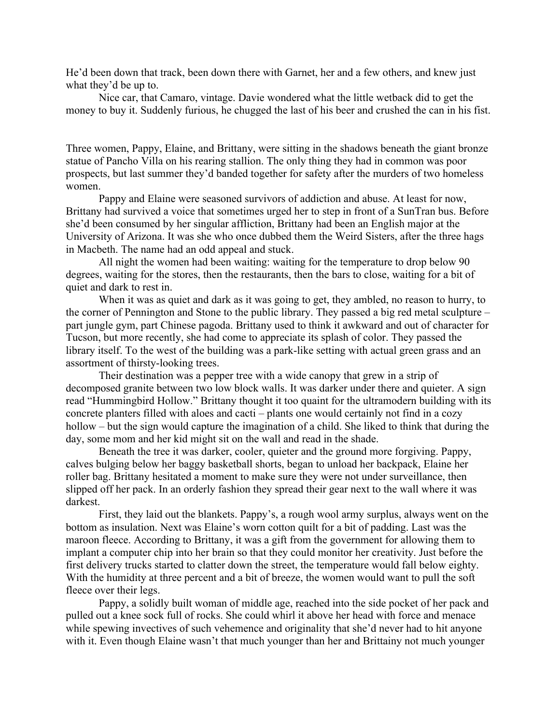He'd been down that track, been down there with Garnet, her and a few others, and knew just what they'd be up to.

Nice car, that Camaro, vintage. Davie wondered what the little wetback did to get the money to buy it. Suddenly furious, he chugged the last of his beer and crushed the can in his fist.

Three women, Pappy, Elaine, and Brittany, were sitting in the shadows beneath the giant bronze statue of Pancho Villa on his rearing stallion. The only thing they had in common was poor prospects, but last summer they'd banded together for safety after the murders of two homeless women.

Pappy and Elaine were seasoned survivors of addiction and abuse. At least for now, Brittany had survived a voice that sometimes urged her to step in front of a SunTran bus. Before she'd been consumed by her singular affliction, Brittany had been an English major at the University of Arizona. It was she who once dubbed them the Weird Sisters, after the three hags in Macbeth. The name had an odd appeal and stuck.

All night the women had been waiting: waiting for the temperature to drop below 90 degrees, waiting for the stores, then the restaurants, then the bars to close, waiting for a bit of quiet and dark to rest in.

When it was as quiet and dark as it was going to get, they ambled, no reason to hurry, to the corner of Pennington and Stone to the public library. They passed a big red metal sculpture – part jungle gym, part Chinese pagoda. Brittany used to think it awkward and out of character for Tucson, but more recently, she had come to appreciate its splash of color. They passed the library itself. To the west of the building was a park-like setting with actual green grass and an assortment of thirsty-looking trees.

Their destination was a pepper tree with a wide canopy that grew in a strip of decomposed granite between two low block walls. It was darker under there and quieter. A sign read "Hummingbird Hollow." Brittany thought it too quaint for the ultramodern building with its concrete planters filled with aloes and cacti – plants one would certainly not find in a cozy hollow – but the sign would capture the imagination of a child. She liked to think that during the day, some mom and her kid might sit on the wall and read in the shade.

Beneath the tree it was darker, cooler, quieter and the ground more forgiving. Pappy, calves bulging below her baggy basketball shorts, began to unload her backpack, Elaine her roller bag. Brittany hesitated a moment to make sure they were not under surveillance, then slipped off her pack. In an orderly fashion they spread their gear next to the wall where it was darkest.

First, they laid out the blankets. Pappy's, a rough wool army surplus, always went on the bottom as insulation. Next was Elaine's worn cotton quilt for a bit of padding. Last was the maroon fleece. According to Brittany, it was a gift from the government for allowing them to implant a computer chip into her brain so that they could monitor her creativity. Just before the first delivery trucks started to clatter down the street, the temperature would fall below eighty. With the humidity at three percent and a bit of breeze, the women would want to pull the soft fleece over their legs.

Pappy, a solidly built woman of middle age, reached into the side pocket of her pack and pulled out a knee sock full of rocks. She could whirl it above her head with force and menace while spewing invectives of such vehemence and originality that she'd never had to hit anyone with it. Even though Elaine wasn't that much younger than her and Brittainy not much younger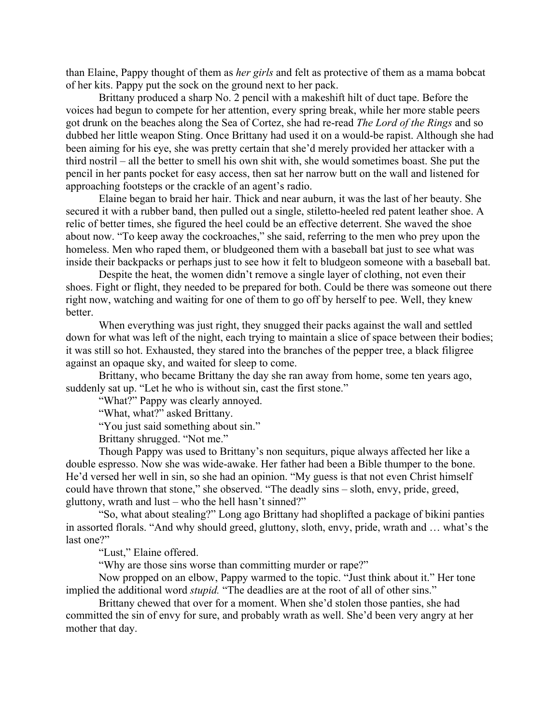than Elaine, Pappy thought of them as *her girls* and felt as protective of them as a mama bobcat of her kits. Pappy put the sock on the ground next to her pack.

Brittany produced a sharp No. 2 pencil with a makeshift hilt of duct tape. Before the voices had begun to compete for her attention, every spring break, while her more stable peers got drunk on the beaches along the Sea of Cortez, she had re-read *The Lord of the Rings* and so dubbed her little weapon Sting. Once Brittany had used it on a would-be rapist. Although she had been aiming for his eye, she was pretty certain that she'd merely provided her attacker with a third nostril – all the better to smell his own shit with, she would sometimes boast. She put the pencil in her pants pocket for easy access, then sat her narrow butt on the wall and listened for approaching footsteps or the crackle of an agent's radio.

Elaine began to braid her hair. Thick and near auburn, it was the last of her beauty. She secured it with a rubber band, then pulled out a single, stiletto-heeled red patent leather shoe. A relic of better times, she figured the heel could be an effective deterrent. She waved the shoe about now. "To keep away the cockroaches," she said, referring to the men who prey upon the homeless. Men who raped them, or bludgeoned them with a baseball bat just to see what was inside their backpacks or perhaps just to see how it felt to bludgeon someone with a baseball bat.

Despite the heat, the women didn't remove a single layer of clothing, not even their shoes. Fight or flight, they needed to be prepared for both. Could be there was someone out there right now, watching and waiting for one of them to go off by herself to pee. Well, they knew better.

When everything was just right, they snugged their packs against the wall and settled down for what was left of the night, each trying to maintain a slice of space between their bodies; it was still so hot. Exhausted, they stared into the branches of the pepper tree, a black filigree against an opaque sky, and waited for sleep to come.

Brittany, who became Brittany the day she ran away from home, some ten years ago, suddenly sat up. "Let he who is without sin, cast the first stone."

"What?" Pappy was clearly annoyed.

"What, what?" asked Brittany.

"You just said something about sin."

Brittany shrugged. "Not me."

Though Pappy was used to Brittany's non sequiturs, pique always affected her like a double espresso. Now she was wide-awake. Her father had been a Bible thumper to the bone. He'd versed her well in sin, so she had an opinion. "My guess is that not even Christ himself could have thrown that stone," she observed. "The deadly sins – sloth, envy, pride, greed, gluttony, wrath and lust – who the hell hasn't sinned?"

"So, what about stealing?" Long ago Brittany had shoplifted a package of bikini panties in assorted florals. "And why should greed, gluttony, sloth, envy, pride, wrath and … what's the last one?"

"Lust," Elaine offered.

"Why are those sins worse than committing murder or rape?"

Now propped on an elbow, Pappy warmed to the topic. "Just think about it." Her tone implied the additional word *stupid.* "The deadlies are at the root of all of other sins."

Brittany chewed that over for a moment. When she'd stolen those panties, she had committed the sin of envy for sure, and probably wrath as well. She'd been very angry at her mother that day.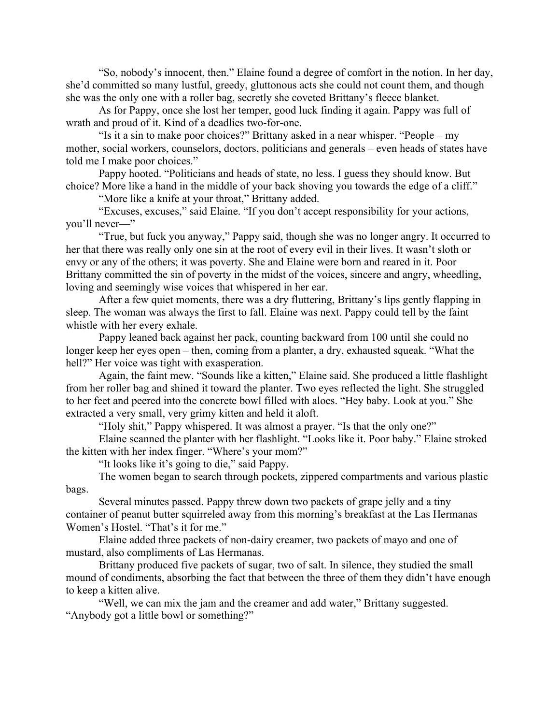"So, nobody's innocent, then." Elaine found a degree of comfort in the notion. In her day, she'd committed so many lustful, greedy, gluttonous acts she could not count them, and though she was the only one with a roller bag, secretly she coveted Brittany's fleece blanket.

As for Pappy, once she lost her temper, good luck finding it again. Pappy was full of wrath and proud of it. Kind of a deadlies two-for-one.

"Is it a sin to make poor choices?" Brittany asked in a near whisper. "People – my mother, social workers, counselors, doctors, politicians and generals – even heads of states have told me I make poor choices."

Pappy hooted. "Politicians and heads of state, no less. I guess they should know. But choice? More like a hand in the middle of your back shoving you towards the edge of a cliff."

"More like a knife at your throat," Brittany added.

"Excuses, excuses," said Elaine. "If you don't accept responsibility for your actions, you'll never—"

"True, but fuck you anyway," Pappy said, though she was no longer angry. It occurred to her that there was really only one sin at the root of every evil in their lives. It wasn't sloth or envy or any of the others; it was poverty. She and Elaine were born and reared in it. Poor Brittany committed the sin of poverty in the midst of the voices, sincere and angry, wheedling, loving and seemingly wise voices that whispered in her ear.

After a few quiet moments, there was a dry fluttering, Brittany's lips gently flapping in sleep. The woman was always the first to fall. Elaine was next. Pappy could tell by the faint whistle with her every exhale.

Pappy leaned back against her pack, counting backward from 100 until she could no longer keep her eyes open – then, coming from a planter, a dry, exhausted squeak. "What the hell?" Her voice was tight with exasperation.

Again, the faint mew. "Sounds like a kitten," Elaine said. She produced a little flashlight from her roller bag and shined it toward the planter. Two eyes reflected the light. She struggled to her feet and peered into the concrete bowl filled with aloes. "Hey baby. Look at you." She extracted a very small, very grimy kitten and held it aloft.

"Holy shit," Pappy whispered. It was almost a prayer. "Is that the only one?"

Elaine scanned the planter with her flashlight. "Looks like it. Poor baby." Elaine stroked the kitten with her index finger. "Where's your mom?"

"It looks like it's going to die," said Pappy.

The women began to search through pockets, zippered compartments and various plastic bags.

Several minutes passed. Pappy threw down two packets of grape jelly and a tiny container of peanut butter squirreled away from this morning's breakfast at the Las Hermanas Women's Hostel. "That's it for me."

Elaine added three packets of non-dairy creamer, two packets of mayo and one of mustard, also compliments of Las Hermanas.

Brittany produced five packets of sugar, two of salt. In silence, they studied the small mound of condiments, absorbing the fact that between the three of them they didn't have enough to keep a kitten alive.

"Well, we can mix the jam and the creamer and add water," Brittany suggested. "Anybody got a little bowl or something?"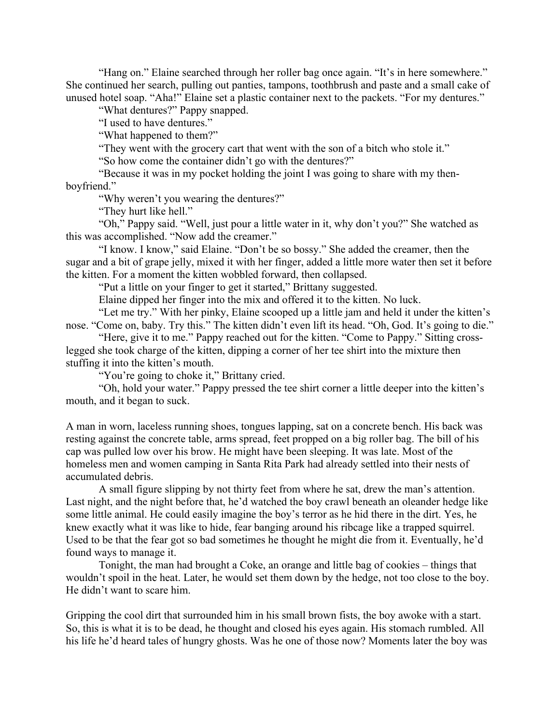"Hang on." Elaine searched through her roller bag once again. "It's in here somewhere." She continued her search, pulling out panties, tampons, toothbrush and paste and a small cake of unused hotel soap. "Aha!" Elaine set a plastic container next to the packets. "For my dentures."

"What dentures?" Pappy snapped.

"I used to have dentures."

"What happened to them?"

"They went with the grocery cart that went with the son of a bitch who stole it."

"So how come the container didn't go with the dentures?"

"Because it was in my pocket holding the joint I was going to share with my thenboyfriend."

"Why weren't you wearing the dentures?"

"They hurt like hell."

"Oh," Pappy said. "Well, just pour a little water in it, why don't you?" She watched as this was accomplished. "Now add the creamer."

"I know. I know," said Elaine. "Don't be so bossy." She added the creamer, then the sugar and a bit of grape jelly, mixed it with her finger, added a little more water then set it before the kitten. For a moment the kitten wobbled forward, then collapsed.

"Put a little on your finger to get it started," Brittany suggested.

Elaine dipped her finger into the mix and offered it to the kitten. No luck.

"Let me try." With her pinky, Elaine scooped up a little jam and held it under the kitten's nose. "Come on, baby. Try this." The kitten didn't even lift its head. "Oh, God. It's going to die."

"Here, give it to me." Pappy reached out for the kitten. "Come to Pappy." Sitting crosslegged she took charge of the kitten, dipping a corner of her tee shirt into the mixture then stuffing it into the kitten's mouth.

"You're going to choke it," Brittany cried.

"Oh, hold your water." Pappy pressed the tee shirt corner a little deeper into the kitten's mouth, and it began to suck.

A man in worn, laceless running shoes, tongues lapping, sat on a concrete bench. His back was resting against the concrete table, arms spread, feet propped on a big roller bag. The bill of his cap was pulled low over his brow. He might have been sleeping. It was late. Most of the homeless men and women camping in Santa Rita Park had already settled into their nests of accumulated debris.

A small figure slipping by not thirty feet from where he sat, drew the man's attention. Last night, and the night before that, he'd watched the boy crawl beneath an oleander hedge like some little animal. He could easily imagine the boy's terror as he hid there in the dirt. Yes, he knew exactly what it was like to hide, fear banging around his ribcage like a trapped squirrel. Used to be that the fear got so bad sometimes he thought he might die from it. Eventually, he'd found ways to manage it.

Tonight, the man had brought a Coke, an orange and little bag of cookies – things that wouldn't spoil in the heat. Later, he would set them down by the hedge, not too close to the boy. He didn't want to scare him.

Gripping the cool dirt that surrounded him in his small brown fists, the boy awoke with a start. So, this is what it is to be dead, he thought and closed his eyes again. His stomach rumbled. All his life he'd heard tales of hungry ghosts. Was he one of those now? Moments later the boy was